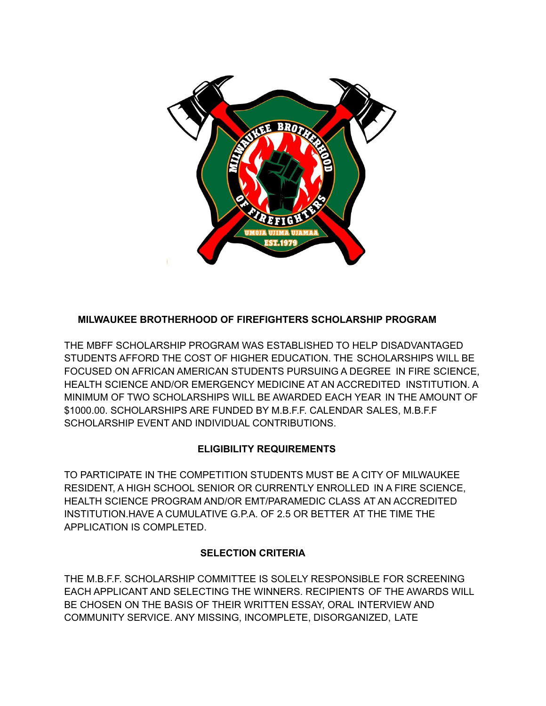

# **MILWAUKEE BROTHERHOOD OF FIREFIGHTERS SCHOLARSHIP PROGRAM**

THE MBFF SCHOLARSHIP PROGRAM WAS ESTABLISHED TO HELP DISADVANTAGED STUDENTS AFFORD THE COST OF HIGHER EDUCATION. THE SCHOLARSHIPS WILL BE FOCUSED ON AFRICAN AMERICAN STUDENTS PURSUING A DEGREE IN FIRE SCIENCE, HEALTH SCIENCE AND/OR EMERGENCY MEDICINE AT AN ACCREDITED INSTITUTION. A MINIMUM OF TWO SCHOLARSHIPS WILL BE AWARDED EACH YEAR IN THE AMOUNT OF \$1000.00. SCHOLARSHIPS ARE FUNDED BY M.B.F.F. CALENDAR SALES, M.B.F.F SCHOLARSHIP EVENT AND INDIVIDUAL CONTRIBUTIONS.

## **ELIGIBILITY REQUIREMENTS**

TO PARTICIPATE IN THE COMPETITION STUDENTS MUST BE A CITY OF MILWAUKEE RESIDENT, A HIGH SCHOOL SENIOR OR CURRENTLY ENROLLED IN A FIRE SCIENCE, HEALTH SCIENCE PROGRAM AND/OR EMT/PARAMEDIC CLASS AT AN ACCREDITED INSTITUTION.HAVE A CUMULATIVE G.P.A. OF 2.5 OR BETTER AT THE TIME THE APPLICATION IS COMPLETED.

## **SELECTION CRITERIA**

THE M.B.F.F. SCHOLARSHIP COMMITTEE IS SOLELY RESPONSIBLE FOR SCREENING EACH APPLICANT AND SELECTING THE WINNERS. RECIPIENTS OF THE AWARDS WILL BE CHOSEN ON THE BASIS OF THEIR WRITTEN ESSAY, ORAL INTERVIEW AND COMMUNITY SERVICE. ANY MISSING, INCOMPLETE, DISORGANIZED, LATE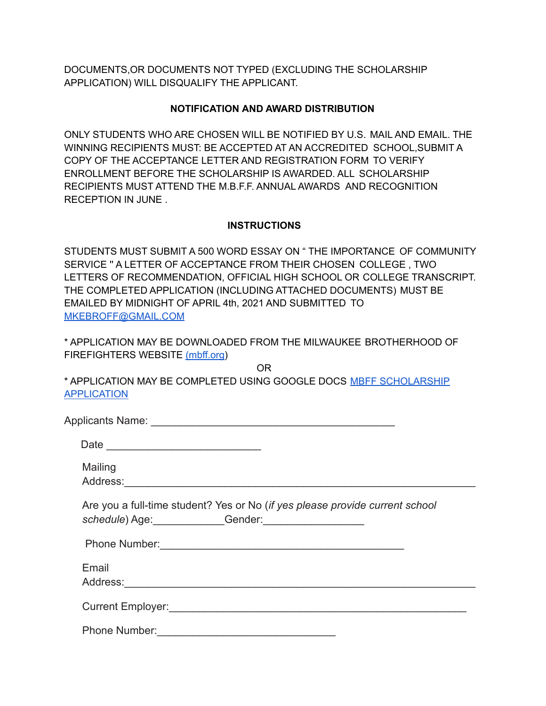DOCUMENTS,OR DOCUMENTS NOT TYPED (EXCLUDING THE SCHOLARSHIP APPLICATION) WILL DISQUALIFY THE APPLICANT.

### **NOTIFICATION AND AWARD DISTRIBUTION**

ONLY STUDENTS WHO ARE CHOSEN WILL BE NOTIFIED BY U.S. MAIL AND EMAIL. THE WINNING RECIPIENTS MUST: BE ACCEPTED AT AN ACCREDITED SCHOOL,SUBMIT A COPY OF THE ACCEPTANCE LETTER AND REGISTRATION FORM TO VERIFY ENROLLMENT BEFORE THE SCHOLARSHIP IS AWARDED. ALL SCHOLARSHIP RECIPIENTS MUST ATTEND THE M.B.F.F. ANNUAL AWARDS AND RECOGNITION RECEPTION IN JUNE .

### **INSTRUCTIONS**

STUDENTS MUST SUBMIT A 500 WORD ESSAY ON " THE IMPORTANCE OF COMMUNITY SERVICE '' A LETTER OF ACCEPTANCE FROM THEIR CHOSEN COLLEGE , TWO LETTERS OF RECOMMENDATION, OFFICIAL HIGH SCHOOL OR COLLEGE TRANSCRIPT. THE COMPLETED APPLICATION (INCLUDING ATTACHED DOCUMENTS) MUST BE EMAILED BY MIDNIGHT OF APRIL 4th, 2021 AND SUBMITTED TO [MKEBROFF@GMAIL.COM](mailto:MKEBROFF@GMAIL.COM)

\* APPLICATION MAY BE DOWNLOADED FROM THE MILWAUKEE BROTHERHOOD OF FIREFIGHTERS WEBSITE [\(mbff.org\)](https://www.mbff.org)

OR \* APPLICATION MAY BE COMPLETED USING GOOGLE DOCS MBFF [SCHOLARSHIP](https://docs.google.com/forms/d/e/1FAIpQLSfIuugrtpDKCyt5B2Y9MuF4JqULyBzdgb9Cpfy5HvkgcWaCQw/viewform) [APPLICATION](https://docs.google.com/forms/d/e/1FAIpQLSfIuugrtpDKCyt5B2Y9MuF4JqULyBzdgb9Cpfy5HvkgcWaCQw/viewform)

|  | Mailing                                                                                                                                                                                                                                 |
|--|-----------------------------------------------------------------------------------------------------------------------------------------------------------------------------------------------------------------------------------------|
|  | Are you a full-time student? Yes or No (if yes please provide current school<br>schedule) Age: Gender: Communications                                                                                                                   |
|  |                                                                                                                                                                                                                                         |
|  | Email<br>Address: Andreas Address: Address: Address: Address: Address: Address: Address: Address: Address: Address: Address: Address: Address: Address: Address: Address: Address: Address: Address: Address: Address: Address: Address |
|  |                                                                                                                                                                                                                                         |
|  | <b>Phone Number:</b>                                                                                                                                                                                                                    |